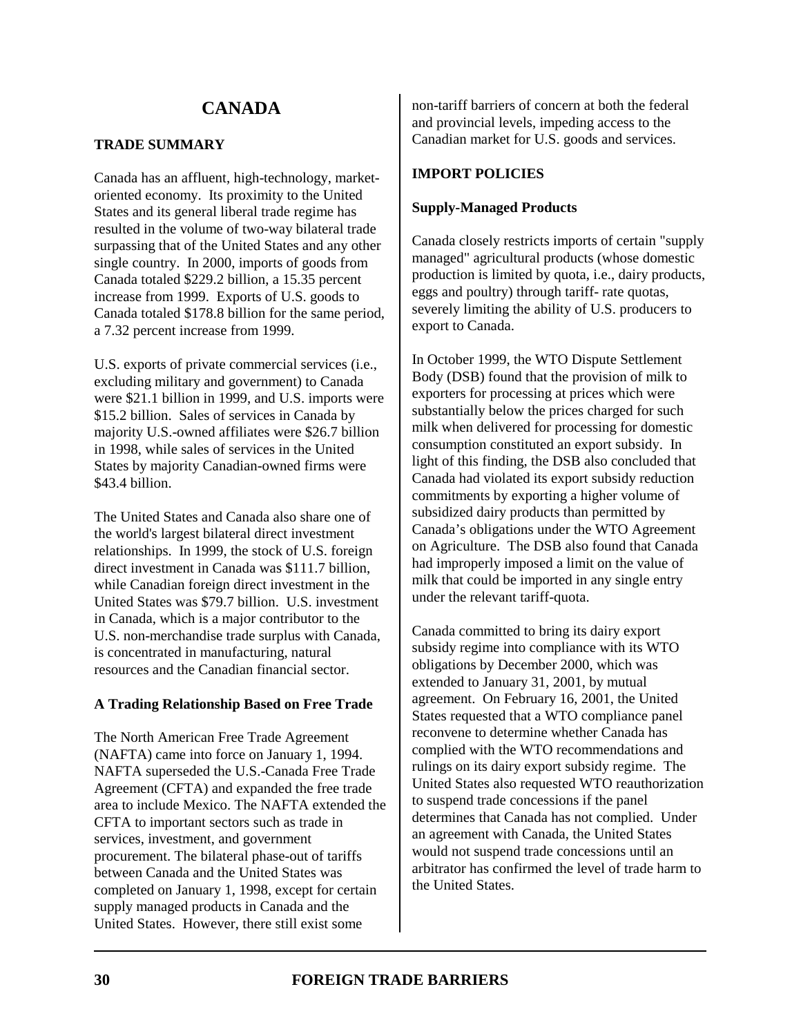# **TRADE SUMMARY**

Canada has an affluent, high-technology, marketoriented economy. Its proximity to the United States and its general liberal trade regime has resulted in the volume of two-way bilateral trade surpassing that of the United States and any other single country. In 2000, imports of goods from Canada totaled \$229.2 billion, a 15.35 percent increase from 1999. Exports of U.S. goods to Canada totaled \$178.8 billion for the same period, a 7.32 percent increase from 1999.

U.S. exports of private commercial services (i.e., excluding military and government) to Canada were \$21.1 billion in 1999, and U.S. imports were \$15.2 billion. Sales of services in Canada by majority U.S.-owned affiliates were \$26.7 billion in 1998, while sales of services in the United States by majority Canadian-owned firms were \$43.4 billion.

The United States and Canada also share one of the world's largest bilateral direct investment relationships. In 1999, the stock of U.S. foreign direct investment in Canada was \$111.7 billion, while Canadian foreign direct investment in the United States was \$79.7 billion. U.S. investment in Canada, which is a major contributor to the U.S. non-merchandise trade surplus with Canada, is concentrated in manufacturing, natural resources and the Canadian financial sector.

# **A Trading Relationship Based on Free Trade**

The North American Free Trade Agreement (NAFTA) came into force on January 1, 1994. NAFTA superseded the U.S.-Canada Free Trade Agreement (CFTA) and expanded the free trade area to include Mexico. The NAFTA extended the CFTA to important sectors such as trade in services, investment, and government procurement. The bilateral phase-out of tariffs between Canada and the United States was completed on January 1, 1998, except for certain supply managed products in Canada and the United States. However, there still exist some

non-tariff barriers of concern at both the federal and provincial levels, impeding access to the Canadian market for U.S. goods and services.

# **IMPORT POLICIES**

### **Supply-Managed Products**

Canada closely restricts imports of certain "supply managed" agricultural products (whose domestic production is limited by quota, i.e., dairy products, eggs and poultry) through tariff- rate quotas, severely limiting the ability of U.S. producers to export to Canada.

In October 1999, the WTO Dispute Settlement Body (DSB) found that the provision of milk to exporters for processing at prices which were substantially below the prices charged for such milk when delivered for processing for domestic consumption constituted an export subsidy. In light of this finding, the DSB also concluded that Canada had violated its export subsidy reduction commitments by exporting a higher volume of subsidized dairy products than permitted by Canada's obligations under the WTO Agreement on Agriculture. The DSB also found that Canada had improperly imposed a limit on the value of milk that could be imported in any single entry under the relevant tariff-quota.

Canada committed to bring its dairy export subsidy regime into compliance with its WTO obligations by December 2000, which was extended to January 31, 2001, by mutual agreement. On February 16, 2001, the United States requested that a WTO compliance panel reconvene to determine whether Canada has complied with the WTO recommendations and rulings on its dairy export subsidy regime. The United States also requested WTO reauthorization to suspend trade concessions if the panel determines that Canada has not complied. Under an agreement with Canada, the United States would not suspend trade concessions until an arbitrator has confirmed the level of trade harm to the United States.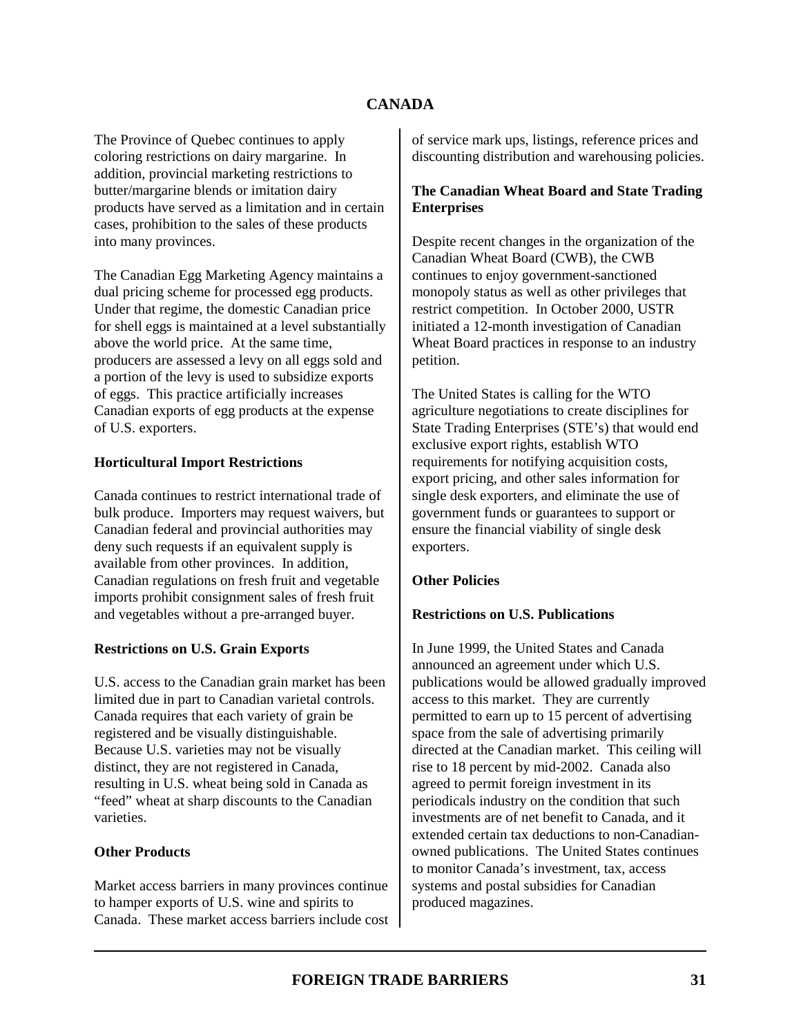The Province of Quebec continues to apply coloring restrictions on dairy margarine. In addition, provincial marketing restrictions to butter/margarine blends or imitation dairy products have served as a limitation and in certain cases, prohibition to the sales of these products into many provinces.

The Canadian Egg Marketing Agency maintains a dual pricing scheme for processed egg products. Under that regime, the domestic Canadian price for shell eggs is maintained at a level substantially above the world price. At the same time, producers are assessed a levy on all eggs sold and a portion of the levy is used to subsidize exports of eggs. This practice artificially increases Canadian exports of egg products at the expense of U.S. exporters.

### **Horticultural Import Restrictions**

Canada continues to restrict international trade of bulk produce. Importers may request waivers, but Canadian federal and provincial authorities may deny such requests if an equivalent supply is available from other provinces. In addition, Canadian regulations on fresh fruit and vegetable imports prohibit consignment sales of fresh fruit and vegetables without a pre-arranged buyer.

### **Restrictions on U.S. Grain Exports**

U.S. access to the Canadian grain market has been limited due in part to Canadian varietal controls. Canada requires that each variety of grain be registered and be visually distinguishable. Because U.S. varieties may not be visually distinct, they are not registered in Canada, resulting in U.S. wheat being sold in Canada as "feed" wheat at sharp discounts to the Canadian varieties.

### **Other Products**

Market access barriers in many provinces continue to hamper exports of U.S. wine and spirits to Canada. These market access barriers include cost of service mark ups, listings, reference prices and discounting distribution and warehousing policies.

# **The Canadian Wheat Board and State Trading Enterprises**

Despite recent changes in the organization of the Canadian Wheat Board (CWB), the CWB continues to enjoy government-sanctioned monopoly status as well as other privileges that restrict competition. In October 2000, USTR initiated a 12-month investigation of Canadian Wheat Board practices in response to an industry petition.

The United States is calling for the WTO agriculture negotiations to create disciplines for State Trading Enterprises (STE's) that would end exclusive export rights, establish WTO requirements for notifying acquisition costs, export pricing, and other sales information for single desk exporters, and eliminate the use of government funds or guarantees to support or ensure the financial viability of single desk exporters.

### **Other Policies**

# **Restrictions on U.S. Publications**

In June 1999, the United States and Canada announced an agreement under which U.S. publications would be allowed gradually improved access to this market. They are currently permitted to earn up to 15 percent of advertising space from the sale of advertising primarily directed at the Canadian market. This ceiling will rise to 18 percent by mid-2002. Canada also agreed to permit foreign investment in its periodicals industry on the condition that such investments are of net benefit to Canada, and it extended certain tax deductions to non-Canadianowned publications. The United States continues to monitor Canada's investment, tax, access systems and postal subsidies for Canadian produced magazines.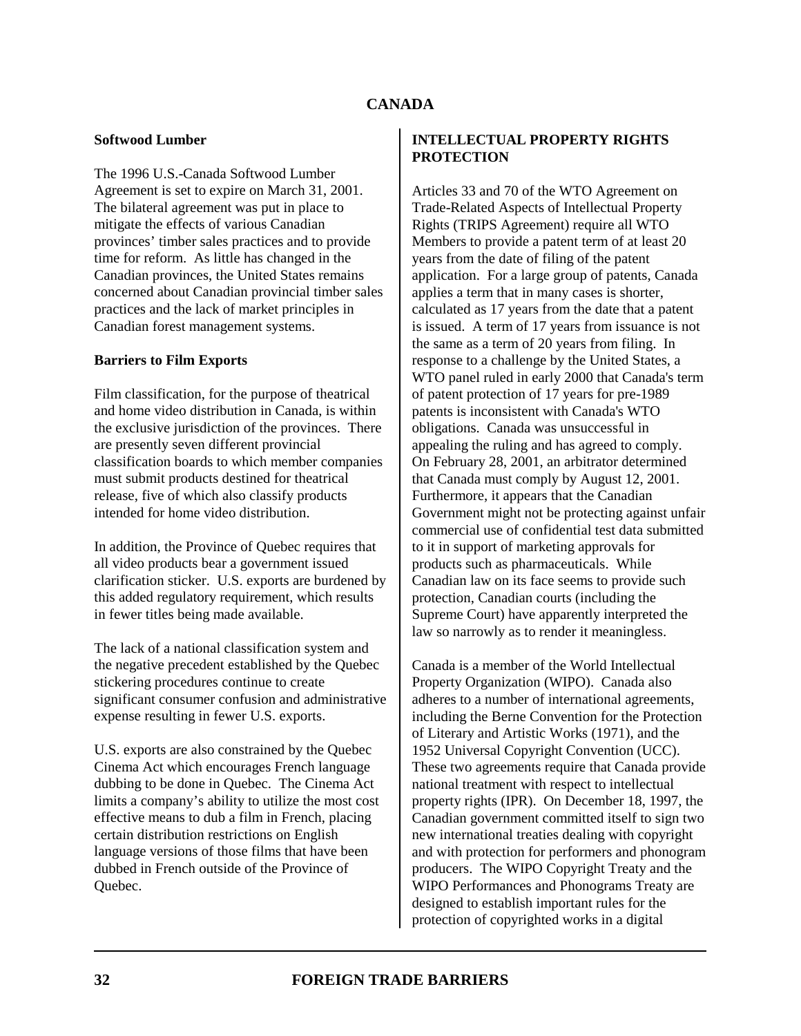### **Softwood Lumber**

The 1996 U.S.-Canada Softwood Lumber Agreement is set to expire on March 31, 2001. The bilateral agreement was put in place to mitigate the effects of various Canadian provinces' timber sales practices and to provide time for reform. As little has changed in the Canadian provinces, the United States remains concerned about Canadian provincial timber sales practices and the lack of market principles in Canadian forest management systems.

### **Barriers to Film Exports**

Film classification, for the purpose of theatrical and home video distribution in Canada, is within the exclusive jurisdiction of the provinces. There are presently seven different provincial classification boards to which member companies must submit products destined for theatrical release, five of which also classify products intended for home video distribution.

In addition, the Province of Quebec requires that all video products bear a government issued clarification sticker. U.S. exports are burdened by this added regulatory requirement, which results in fewer titles being made available.

The lack of a national classification system and the negative precedent established by the Quebec stickering procedures continue to create significant consumer confusion and administrative expense resulting in fewer U.S. exports.

U.S. exports are also constrained by the Quebec Cinema Act which encourages French language dubbing to be done in Quebec. The Cinema Act limits a company's ability to utilize the most cost effective means to dub a film in French, placing certain distribution restrictions on English language versions of those films that have been dubbed in French outside of the Province of Quebec.

### **INTELLECTUAL PROPERTY RIGHTS PROTECTION**

Articles 33 and 70 of the WTO Agreement on Trade-Related Aspects of Intellectual Property Rights (TRIPS Agreement) require all WTO Members to provide a patent term of at least 20 years from the date of filing of the patent application. For a large group of patents, Canada applies a term that in many cases is shorter, calculated as 17 years from the date that a patent is issued. A term of 17 years from issuance is not the same as a term of 20 years from filing. In response to a challenge by the United States, a WTO panel ruled in early 2000 that Canada's term of patent protection of 17 years for pre-1989 patents is inconsistent with Canada's WTO obligations. Canada was unsuccessful in appealing the ruling and has agreed to comply. On February 28, 2001, an arbitrator determined that Canada must comply by August 12, 2001. Furthermore, it appears that the Canadian Government might not be protecting against unfair commercial use of confidential test data submitted to it in support of marketing approvals for products such as pharmaceuticals. While Canadian law on its face seems to provide such protection, Canadian courts (including the Supreme Court) have apparently interpreted the law so narrowly as to render it meaningless.

Canada is a member of the World Intellectual Property Organization (WIPO). Canada also adheres to a number of international agreements, including the Berne Convention for the Protection of Literary and Artistic Works (1971), and the 1952 Universal Copyright Convention (UCC). These two agreements require that Canada provide national treatment with respect to intellectual property rights (IPR). On December 18, 1997, the Canadian government committed itself to sign two new international treaties dealing with copyright and with protection for performers and phonogram producers. The WIPO Copyright Treaty and the WIPO Performances and Phonograms Treaty are designed to establish important rules for the protection of copyrighted works in a digital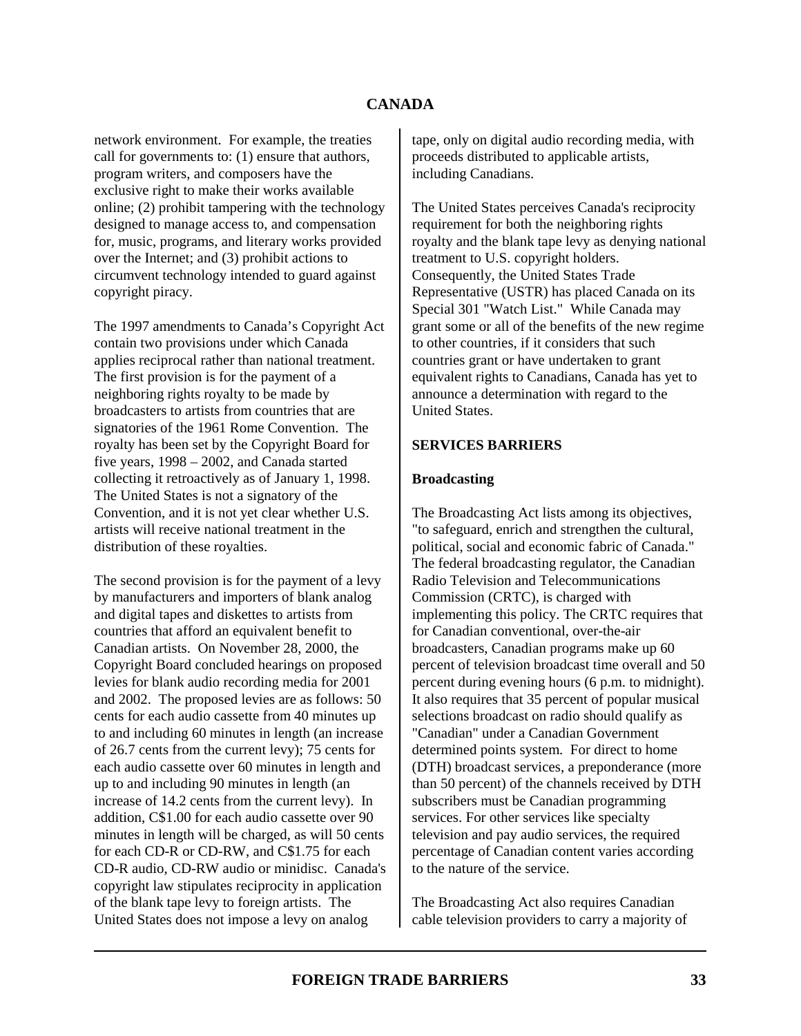network environment. For example, the treaties call for governments to: (1) ensure that authors, program writers, and composers have the exclusive right to make their works available online; (2) prohibit tampering with the technology designed to manage access to, and compensation for, music, programs, and literary works provided over the Internet; and (3) prohibit actions to circumvent technology intended to guard against copyright piracy.

The 1997 amendments to Canada's Copyright Act contain two provisions under which Canada applies reciprocal rather than national treatment. The first provision is for the payment of a neighboring rights royalty to be made by broadcasters to artists from countries that are signatories of the 1961 Rome Convention. The royalty has been set by the Copyright Board for five years, 1998 – 2002, and Canada started collecting it retroactively as of January 1, 1998. The United States is not a signatory of the Convention, and it is not yet clear whether U.S. artists will receive national treatment in the distribution of these royalties.

The second provision is for the payment of a levy by manufacturers and importers of blank analog and digital tapes and diskettes to artists from countries that afford an equivalent benefit to Canadian artists. On November 28, 2000, the Copyright Board concluded hearings on proposed levies for blank audio recording media for 2001 and 2002. The proposed levies are as follows: 50 cents for each audio cassette from 40 minutes up to and including 60 minutes in length (an increase of 26.7 cents from the current levy); 75 cents for each audio cassette over 60 minutes in length and up to and including 90 minutes in length (an increase of 14.2 cents from the current levy). In addition, C\$1.00 for each audio cassette over 90 minutes in length will be charged, as will 50 cents for each CD-R or CD-RW, and C\$1.75 for each CD-R audio, CD-RW audio or minidisc. Canada's copyright law stipulates reciprocity in application of the blank tape levy to foreign artists. The United States does not impose a levy on analog

tape, only on digital audio recording media, with proceeds distributed to applicable artists, including Canadians.

The United States perceives Canada's reciprocity requirement for both the neighboring rights royalty and the blank tape levy as denying national treatment to U.S. copyright holders. Consequently, the United States Trade Representative (USTR) has placed Canada on its Special 301 "Watch List." While Canada may grant some or all of the benefits of the new regime to other countries, if it considers that such countries grant or have undertaken to grant equivalent rights to Canadians, Canada has yet to announce a determination with regard to the United States.

### **SERVICES BARRIERS**

#### **Broadcasting**

The Broadcasting Act lists among its objectives, "to safeguard, enrich and strengthen the cultural, political, social and economic fabric of Canada." The federal broadcasting regulator, the Canadian Radio Television and Telecommunications Commission (CRTC), is charged with implementing this policy. The CRTC requires that for Canadian conventional, over-the-air broadcasters, Canadian programs make up 60 percent of television broadcast time overall and 50 percent during evening hours (6 p.m. to midnight). It also requires that 35 percent of popular musical selections broadcast on radio should qualify as "Canadian" under a Canadian Government determined points system. For direct to home (DTH) broadcast services, a preponderance (more than 50 percent) of the channels received by DTH subscribers must be Canadian programming services. For other services like specialty television and pay audio services, the required percentage of Canadian content varies according to the nature of the service.

The Broadcasting Act also requires Canadian cable television providers to carry a majority of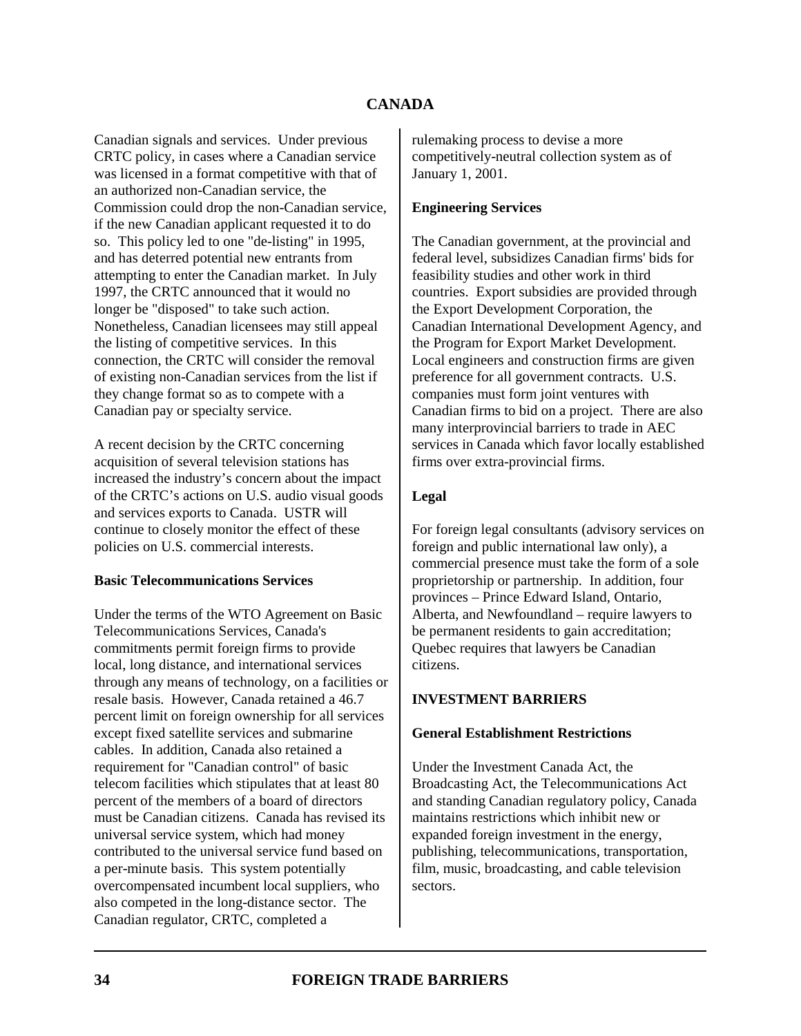Canadian signals and services. Under previous CRTC policy, in cases where a Canadian service was licensed in a format competitive with that of an authorized non-Canadian service, the Commission could drop the non-Canadian service, if the new Canadian applicant requested it to do so. This policy led to one "de-listing" in 1995, and has deterred potential new entrants from attempting to enter the Canadian market. In July 1997, the CRTC announced that it would no longer be "disposed" to take such action. Nonetheless, Canadian licensees may still appeal the listing of competitive services. In this connection, the CRTC will consider the removal of existing non-Canadian services from the list if they change format so as to compete with a Canadian pay or specialty service.

A recent decision by the CRTC concerning acquisition of several television stations has increased the industry's concern about the impact of the CRTC's actions on U.S. audio visual goods and services exports to Canada. USTR will continue to closely monitor the effect of these policies on U.S. commercial interests.

### **Basic Telecommunications Services**

Under the terms of the WTO Agreement on Basic Telecommunications Services, Canada's commitments permit foreign firms to provide local, long distance, and international services through any means of technology, on a facilities or resale basis. However, Canada retained a 46.7 percent limit on foreign ownership for all services except fixed satellite services and submarine cables. In addition, Canada also retained a requirement for "Canadian control" of basic telecom facilities which stipulates that at least 80 percent of the members of a board of directors must be Canadian citizens. Canada has revised its universal service system, which had money contributed to the universal service fund based on a per-minute basis. This system potentially overcompensated incumbent local suppliers, who also competed in the long-distance sector. The Canadian regulator, CRTC, completed a

rulemaking process to devise a more competitively-neutral collection system as of January 1, 2001.

### **Engineering Services**

The Canadian government, at the provincial and federal level, subsidizes Canadian firms' bids for feasibility studies and other work in third countries. Export subsidies are provided through the Export Development Corporation, the Canadian International Development Agency, and the Program for Export Market Development. Local engineers and construction firms are given preference for all government contracts. U.S. companies must form joint ventures with Canadian firms to bid on a project. There are also many interprovincial barriers to trade in AEC services in Canada which favor locally established firms over extra-provincial firms.

# **Legal**

For foreign legal consultants (advisory services on foreign and public international law only), a commercial presence must take the form of a sole proprietorship or partnership. In addition, four provinces – Prince Edward Island, Ontario, Alberta, and Newfoundland – require lawyers to be permanent residents to gain accreditation; Quebec requires that lawyers be Canadian citizens.

# **INVESTMENT BARRIERS**

### **General Establishment Restrictions**

Under the Investment Canada Act, the Broadcasting Act, the Telecommunications Act and standing Canadian regulatory policy, Canada maintains restrictions which inhibit new or expanded foreign investment in the energy, publishing, telecommunications, transportation, film, music, broadcasting, and cable television sectors.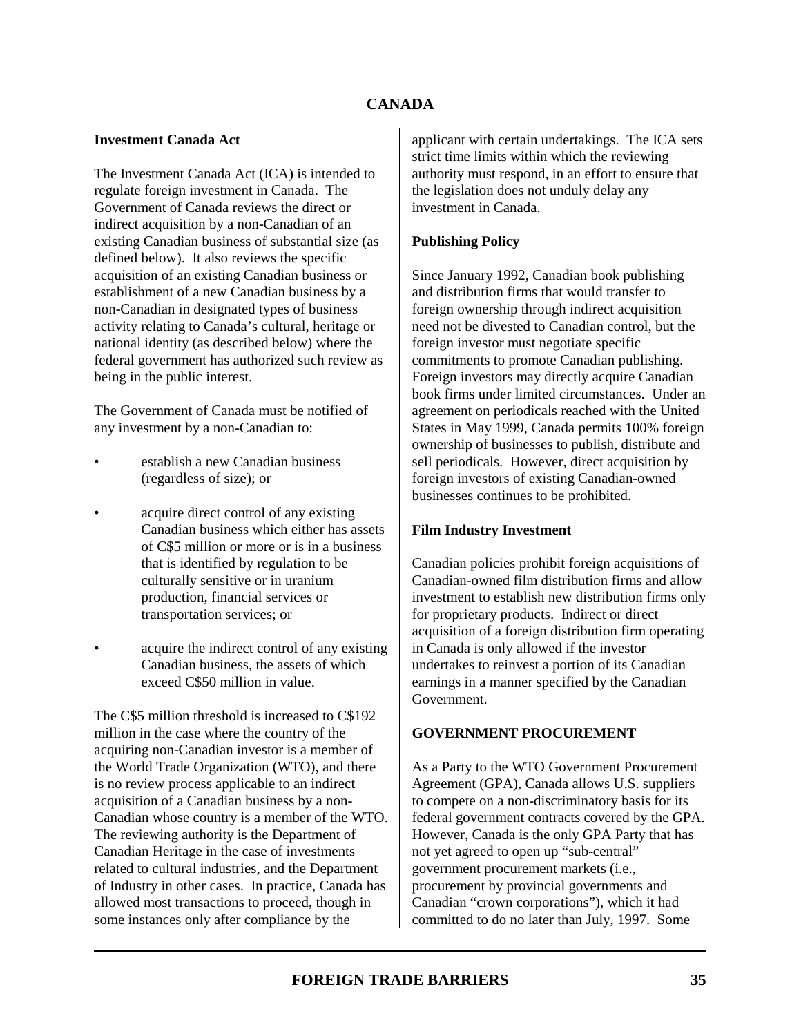### **Investment Canada Act**

The Investment Canada Act (ICA) is intended to regulate foreign investment in Canada. The Government of Canada reviews the direct or indirect acquisition by a non-Canadian of an existing Canadian business of substantial size (as defined below). It also reviews the specific acquisition of an existing Canadian business or establishment of a new Canadian business by a non-Canadian in designated types of business activity relating to Canada's cultural, heritage or national identity (as described below) where the federal government has authorized such review as being in the public interest.

The Government of Canada must be notified of any investment by a non-Canadian to:

- establish a new Canadian business (regardless of size); or
- acquire direct control of any existing Canadian business which either has assets of C\$5 million or more or is in a business that is identified by regulation to be culturally sensitive or in uranium production, financial services or transportation services; or
- acquire the indirect control of any existing Canadian business, the assets of which exceed C\$50 million in value.

The C\$5 million threshold is increased to C\$192 million in the case where the country of the acquiring non-Canadian investor is a member of the World Trade Organization (WTO), and there is no review process applicable to an indirect acquisition of a Canadian business by a non-Canadian whose country is a member of the WTO. The reviewing authority is the Department of Canadian Heritage in the case of investments related to cultural industries, and the Department of Industry in other cases. In practice, Canada has allowed most transactions to proceed, though in some instances only after compliance by the

applicant with certain undertakings. The ICA sets strict time limits within which the reviewing authority must respond, in an effort to ensure that the legislation does not unduly delay any investment in Canada.

# **Publishing Policy**

Since January 1992, Canadian book publishing and distribution firms that would transfer to foreign ownership through indirect acquisition need not be divested to Canadian control, but the foreign investor must negotiate specific commitments to promote Canadian publishing. Foreign investors may directly acquire Canadian book firms under limited circumstances. Under an agreement on periodicals reached with the United States in May 1999, Canada permits 100% foreign ownership of businesses to publish, distribute and sell periodicals. However, direct acquisition by foreign investors of existing Canadian-owned businesses continues to be prohibited.

# **Film Industry Investment**

Canadian policies prohibit foreign acquisitions of Canadian-owned film distribution firms and allow investment to establish new distribution firms only for proprietary products. Indirect or direct acquisition of a foreign distribution firm operating in Canada is only allowed if the investor undertakes to reinvest a portion of its Canadian earnings in a manner specified by the Canadian Government.

# **GOVERNMENT PROCUREMENT**

As a Party to the WTO Government Procurement Agreement (GPA), Canada allows U.S. suppliers to compete on a non-discriminatory basis for its federal government contracts covered by the GPA. However, Canada is the only GPA Party that has not yet agreed to open up "sub-central" government procurement markets (i.e., procurement by provincial governments and Canadian "crown corporations"), which it had committed to do no later than July, 1997. Some